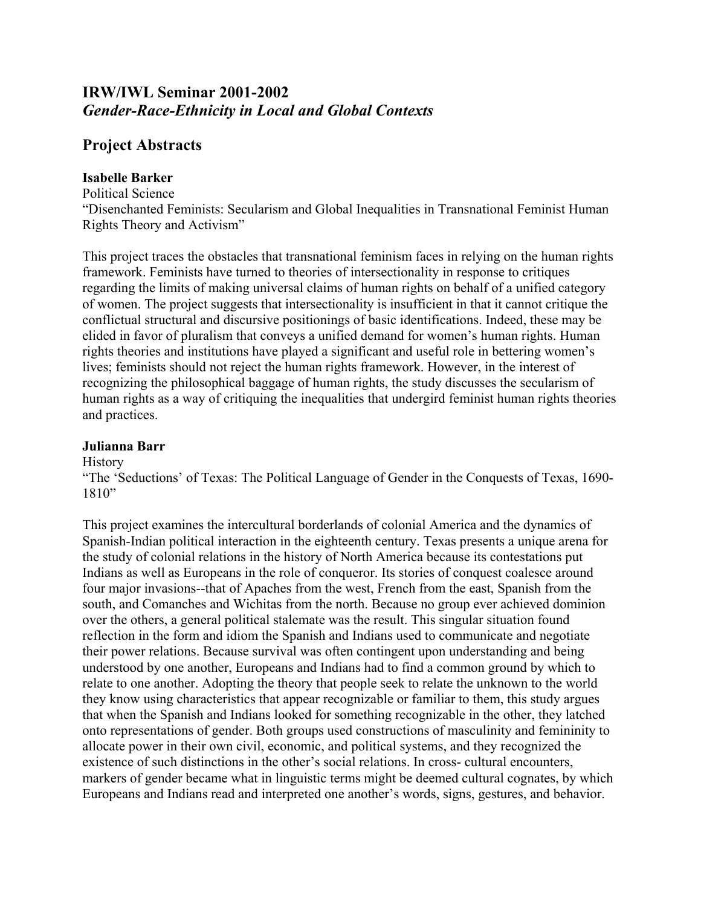# **IRW/IWL Seminar 2001-2002**  *Gender-Race-Ethnicity in Local and Global Contexts*

## **Project Abstracts**

## **Isabelle Barker**

Political Science "Disenchanted Feminists: Secularism and Global Inequalities in Transnational Feminist Human Rights Theory and Activism"

This project traces the obstacles that transnational feminism faces in relying on the human rights framework. Feminists have turned to theories of intersectionality in response to critiques regarding the limits of making universal claims of human rights on behalf of a unified category of women. The project suggests that intersectionality is insufficient in that it cannot critique the conflictual structural and discursive positionings of basic identifications. Indeed, these may be elided in favor of pluralism that conveys a unified demand for women's human rights. Human rights theories and institutions have played a significant and useful role in bettering women's lives; feminists should not reject the human rights framework. However, in the interest of recognizing the philosophical baggage of human rights, the study discusses the secularism of human rights as a way of critiquing the inequalities that undergird feminist human rights theories and practices.

## **Julianna Barr**

**History** 

"The 'Seductions' of Texas: The Political Language of Gender in the Conquests of Texas, 1690- 1810"

This project examines the intercultural borderlands of colonial America and the dynamics of Spanish-Indian political interaction in the eighteenth century. Texas presents a unique arena for the study of colonial relations in the history of North America because its contestations put Indians as well as Europeans in the role of conqueror. Its stories of conquest coalesce around four major invasions--that of Apaches from the west, French from the east, Spanish from the south, and Comanches and Wichitas from the north. Because no group ever achieved dominion over the others, a general political stalemate was the result. This singular situation found reflection in the form and idiom the Spanish and Indians used to communicate and negotiate their power relations. Because survival was often contingent upon understanding and being understood by one another, Europeans and Indians had to find a common ground by which to relate to one another. Adopting the theory that people seek to relate the unknown to the world they know using characteristics that appear recognizable or familiar to them, this study argues that when the Spanish and Indians looked for something recognizable in the other, they latched onto representations of gender. Both groups used constructions of masculinity and femininity to allocate power in their own civil, economic, and political systems, and they recognized the existence of such distinctions in the other's social relations. In cross- cultural encounters, markers of gender became what in linguistic terms might be deemed cultural cognates, by which Europeans and Indians read and interpreted one another's words, signs, gestures, and behavior.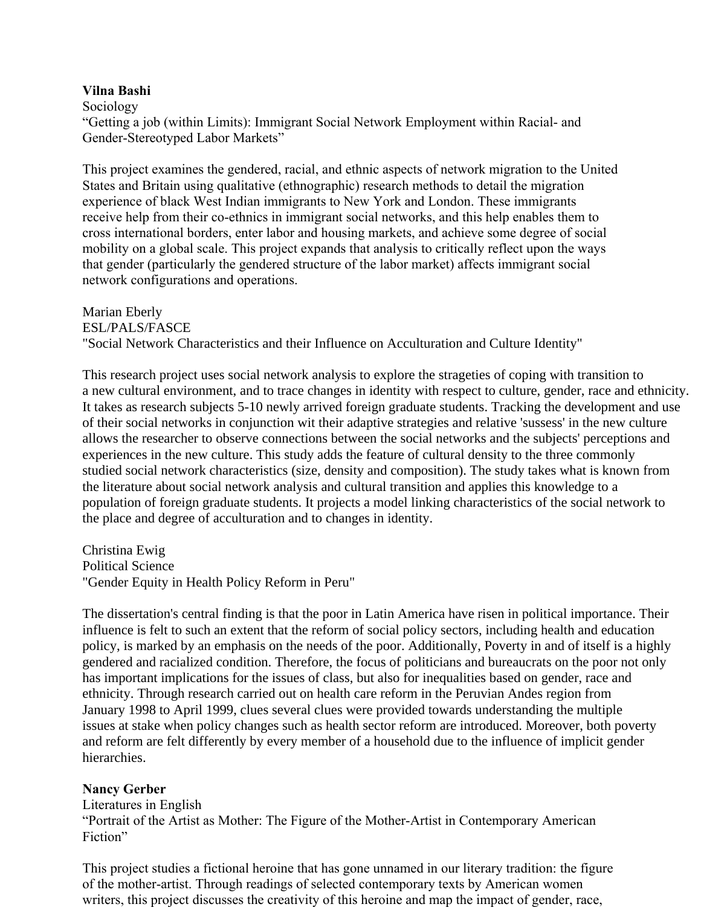#### **Vilna Bashi**

Sociology

"Getting a job (within Limits): Immigrant Social Network Employment within Racial- and Gender-Stereotyped Labor Markets"

This project examines the gendered, racial, and ethnic aspects of network migration to the United States and Britain using qualitative (ethnographic) research methods to detail the migration experience of black West Indian immigrants to New York and London. These immigrants receive help from their co-ethnics in immigrant social networks, and this help enables them to cross international borders, enter labor and housing markets, and achieve some degree of social mobility on a global scale. This project expands that analysis to critically reflect upon the ways that gender (particularly the gendered structure of the labor market) affects immigrant social network configurations and operations.

Marian Eberly ESL/PALS/FASCE "Social Network Characteristics and their Influence on Acculturation and Culture Identity"

This research project uses social network analysis to explore the strageties of coping with transition to a new cultural environment, and to trace changes in identity with respect to culture, gender, race and ethnicity. It takes as research subjects 5-10 newly arrived foreign graduate students. Tracking the development and use of their social networks in conjunction wit their adaptive strategies and relative 'sussess' in the new culture allows the researcher to observe connections between the social networks and the subjects' perceptions and experiences in the new culture. This study adds the feature of cultural density to the three commonly studied social network characteristics (size, density and composition). The study takes what is known from the literature about social network analysis and cultural transition and applies this knowledge to a population of foreign graduate students. It projects a model linking characteristics of the social network to the place and degree of acculturation and to changes in identity.

Christina Ewig Political Science "Gender Equity in Health Policy Reform in Peru"

The dissertation's central finding is that the poor in Latin America have risen in political importance. Their influence is felt to such an extent that the reform of social policy sectors, including health and education policy, is marked by an emphasis on the needs of the poor. Additionally, Poverty in and of itself is a highly gendered and racialized condition. Therefore, the focus of politicians and bureaucrats on the poor not only has important implications for the issues of class, but also for inequalities based on gender, race and ethnicity. Through research carried out on health care reform in the Peruvian Andes region from January 1998 to April 1999, clues several clues were provided towards understanding the multiple issues at stake when policy changes such as health sector reform are introduced. Moreover, both poverty and reform are felt differently by every member of a household due to the influence of implicit gender hierarchies.

## **Nancy Gerber**

Literatures in English "Portrait of the Artist as Mother: The Figure of the Mother-Artist in Contemporary American Fiction"

This project studies a fictional heroine that has gone unnamed in our literary tradition: the figure of the mother-artist. Through readings of selected contemporary texts by American women writers, this project discusses the creativity of this heroine and map the impact of gender, race,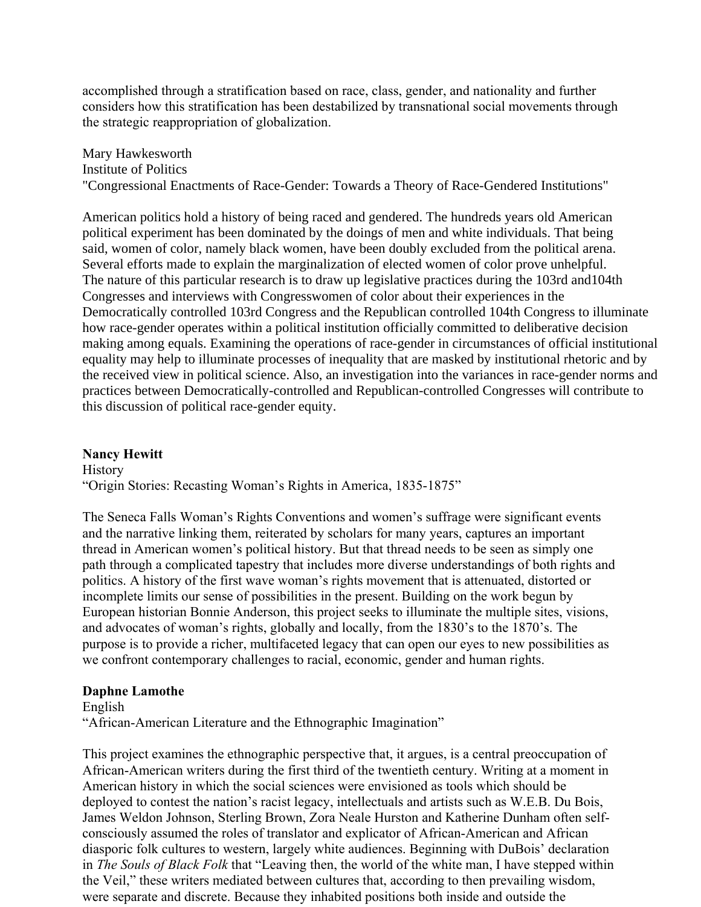accomplished through a stratification based on race, class, gender, and nationality and further considers how this stratification has been destabilized by transnational social movements through the strategic reappropriation of globalization.

Mary Hawkesworth Institute of Politics "Congressional Enactments of Race-Gender: Towards a Theory of Race-Gendered Institutions"

American politics hold a history of being raced and gendered. The hundreds years old American political experiment has been dominated by the doings of men and white individuals. That being said, women of color, namely black women, have been doubly excluded from the political arena. Several efforts made to explain the marginalization of elected women of color prove unhelpful. The nature of this particular research is to draw up legislative practices during the 103rd and104th Congresses and interviews with Congresswomen of color about their experiences in the Democratically controlled 103rd Congress and the Republican controlled 104th Congress to illuminate how race-gender operates within a political institution officially committed to deliberative decision making among equals. Examining the operations of race-gender in circumstances of official institutional equality may help to illuminate processes of inequality that are masked by institutional rhetoric and by the received view in political science. Also, an investigation into the variances in race-gender norms and practices between Democratically-controlled and Republican-controlled Congresses will contribute to this discussion of political race-gender equity.

#### **Nancy Hewitt**

**History** "Origin Stories: Recasting Woman's Rights in America, 1835-1875"

The Seneca Falls Woman's Rights Conventions and women's suffrage were significant events and the narrative linking them, reiterated by scholars for many years, captures an important thread in American women's political history. But that thread needs to be seen as simply one path through a complicated tapestry that includes more diverse understandings of both rights and politics. A history of the first wave woman's rights movement that is attenuated, distorted or incomplete limits our sense of possibilities in the present. Building on the work begun by European historian Bonnie Anderson, this project seeks to illuminate the multiple sites, visions, and advocates of woman's rights, globally and locally, from the 1830's to the 1870's. The purpose is to provide a richer, multifaceted legacy that can open our eyes to new possibilities as we confront contemporary challenges to racial, economic, gender and human rights.

#### **Daphne Lamothe**

English

"African-American Literature and the Ethnographic Imagination"

This project examines the ethnographic perspective that, it argues, is a central preoccupation of African-American writers during the first third of the twentieth century. Writing at a moment in American history in which the social sciences were envisioned as tools which should be deployed to contest the nation's racist legacy, intellectuals and artists such as W.E.B. Du Bois, James Weldon Johnson, Sterling Brown, Zora Neale Hurston and Katherine Dunham often selfconsciously assumed the roles of translator and explicator of African-American and African diasporic folk cultures to western, largely white audiences. Beginning with DuBois' declaration in *The Souls of Black Folk* that "Leaving then, the world of the white man, I have stepped within the Veil," these writers mediated between cultures that, according to then prevailing wisdom, were separate and discrete. Because they inhabited positions both inside and outside the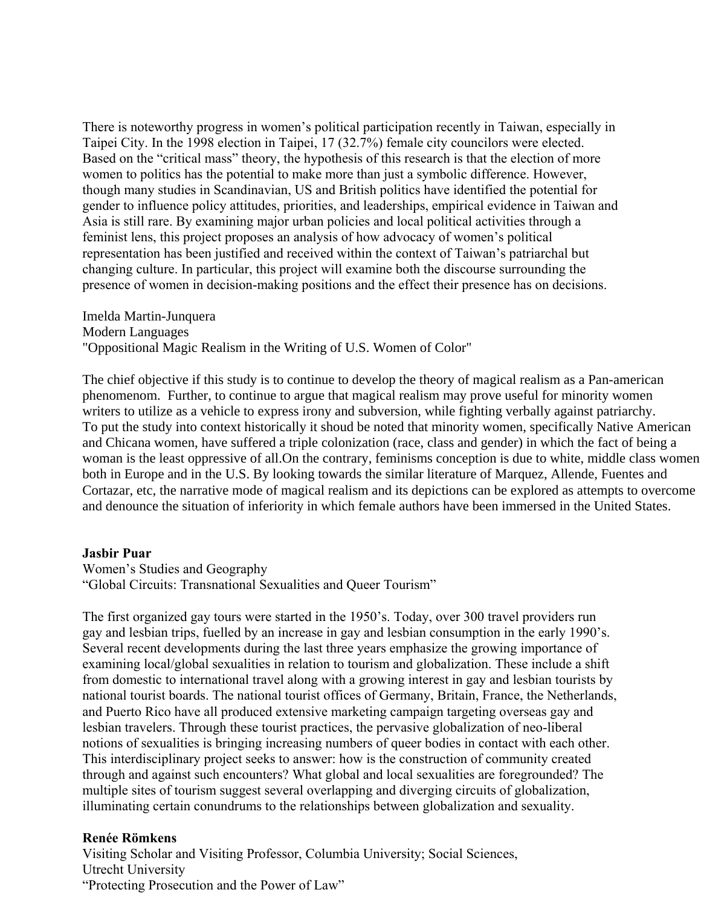There is noteworthy progress in women's political participation recently in Taiwan, especially in Taipei City. In the 1998 election in Taipei, 17 (32.7%) female city councilors were elected. Based on the "critical mass" theory, the hypothesis of this research is that the election of more women to politics has the potential to make more than just a symbolic difference. However, though many studies in Scandinavian, US and British politics have identified the potential for gender to influence policy attitudes, priorities, and leaderships, empirical evidence in Taiwan and Asia is still rare. By examining major urban policies and local political activities through a feminist lens, this project proposes an analysis of how advocacy of women's political representation has been justified and received within the context of Taiwan's patriarchal but changing culture. In particular, this project will examine both the discourse surrounding the presence of women in decision-making positions and the effect their presence has on decisions.

Imelda Martin-Junquera Modern Languages "Oppositional Magic Realism in the Writing of U.S. Women of Color"

The chief objective if this study is to continue to develop the theory of magical realism as a Pan-american phenomenom. Further, to continue to argue that magical realism may prove useful for minority women writers to utilize as a vehicle to express irony and subversion, while fighting verbally against patriarchy. To put the study into context historically it shoud be noted that minority women, specifically Native American and Chicana women, have suffered a triple colonization (race, class and gender) in which the fact of being a woman is the least oppressive of all.On the contrary, feminisms conception is due to white, middle class women both in Europe and in the U.S. By looking towards the similar literature of Marquez, Allende, Fuentes and Cortazar, etc, the narrative mode of magical realism and its depictions can be explored as attempts to overcome and denounce the situation of inferiority in which female authors have been immersed in the United States.

#### **Jasbir Puar**

Women's Studies and Geography "Global Circuits: Transnational Sexualities and Queer Tourism"

The first organized gay tours were started in the 1950's. Today, over 300 travel providers run gay and lesbian trips, fuelled by an increase in gay and lesbian consumption in the early 1990's. Several recent developments during the last three years emphasize the growing importance of examining local/global sexualities in relation to tourism and globalization. These include a shift from domestic to international travel along with a growing interest in gay and lesbian tourists by national tourist boards. The national tourist offices of Germany, Britain, France, the Netherlands, and Puerto Rico have all produced extensive marketing campaign targeting overseas gay and lesbian travelers. Through these tourist practices, the pervasive globalization of neo-liberal notions of sexualities is bringing increasing numbers of queer bodies in contact with each other. This interdisciplinary project seeks to answer: how is the construction of community created through and against such encounters? What global and local sexualities are foregrounded? The multiple sites of tourism suggest several overlapping and diverging circuits of globalization, illuminating certain conundrums to the relationships between globalization and sexuality.

## **Renée Römkens**

Visiting Scholar and Visiting Professor, Columbia University; Social Sciences, Utrecht University "Protecting Prosecution and the Power of Law"